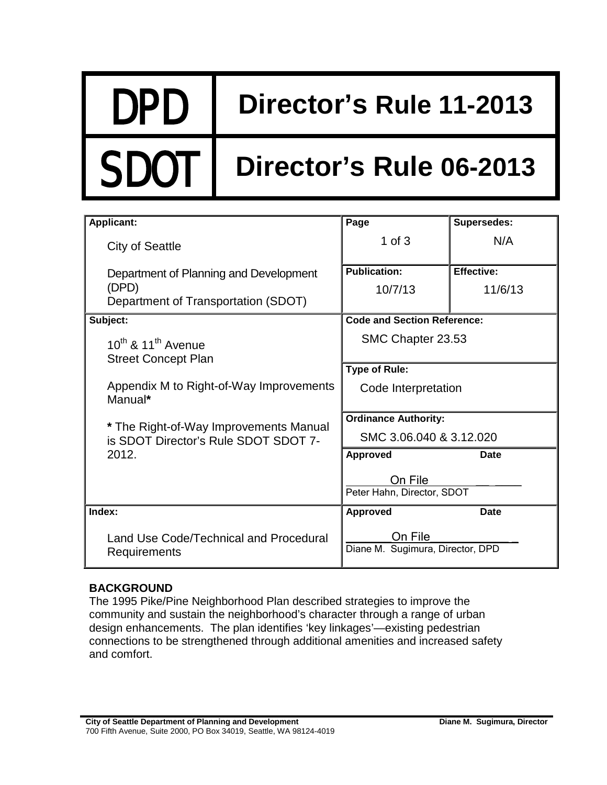# DPD **Director's Rule 11-2013**

## Director's Rule 06-2013

| <b>Applicant:</b>                                                                      | Page                                        | <b>Supersedes:</b>           |
|----------------------------------------------------------------------------------------|---------------------------------------------|------------------------------|
| <b>City of Seattle</b>                                                                 | 1 of $3$                                    | N/A                          |
| Department of Planning and Development<br>(DPD)<br>Department of Transportation (SDOT) | <b>Publication:</b><br>10/7/13              | <b>Effective:</b><br>11/6/13 |
| Subject:                                                                               | <b>Code and Section Reference:</b>          |                              |
| $10^{th}$ & $11^{th}$ Avenue<br><b>Street Concept Plan</b>                             | SMC Chapter 23.53                           |                              |
|                                                                                        | <b>Type of Rule:</b>                        |                              |
| Appendix M to Right-of-Way Improvements<br>Manual*                                     | Code Interpretation                         |                              |
| * The Right-of-Way Improvements Manual<br>is SDOT Director's Rule SDOT SDOT 7-         | <b>Ordinance Authority:</b>                 |                              |
|                                                                                        | SMC 3.06.040 & 3.12.020                     |                              |
| 2012.                                                                                  | <b>Approved</b>                             | Date                         |
|                                                                                        | On File<br>Peter Hahn, Director, SDOT       |                              |
| Index:                                                                                 | <b>Approved</b>                             | <b>Date</b>                  |
| Land Use Code/Technical and Procedural<br>Requirements                                 | On File<br>Diane M. Sugimura, Director, DPD |                              |

### **BACKGROUND**

The 1995 Pike/Pine Neighborhood Plan described strategies to improve the community and sustain the neighborhood's character through a range of urban design enhancements. The plan identifies 'key linkages'—existing pedestrian connections to be strengthened through additional amenities and increased safety and comfort.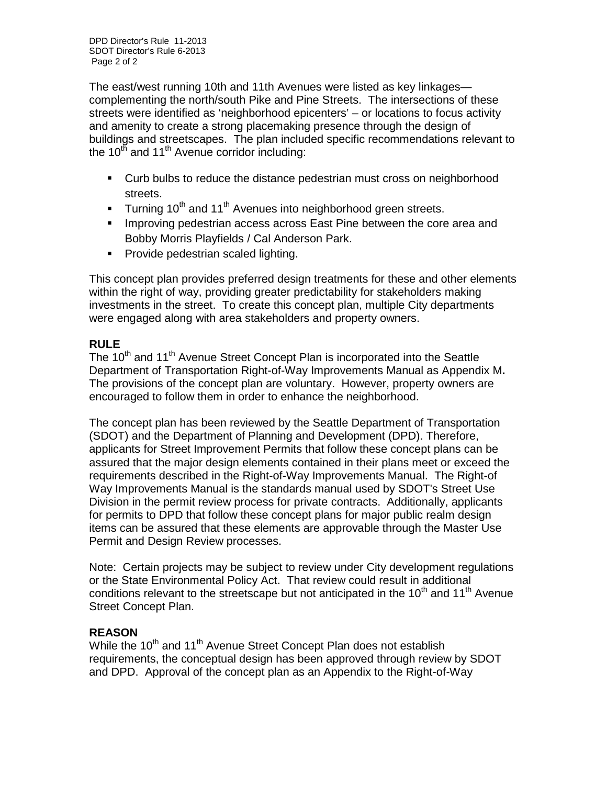The east/west running 10th and 11th Avenues were listed as key linkages complementing the north/south Pike and Pine Streets. The intersections of these streets were identified as 'neighborhood epicenters' – or locations to focus activity and amenity to create a strong placemaking presence through the design of buildings and streetscapes. The plan included specific recommendations relevant to the  $10<sup>th</sup>$  and  $11<sup>th</sup>$  Avenue corridor including:

- Curb bulbs to reduce the distance pedestrian must cross on neighborhood streets.
- Turning 10<sup>th</sup> and 11<sup>th</sup> Avenues into neighborhood green streets.
- **Improving pedestrian access across East Pine between the core area and** Bobby Morris Playfields / Cal Anderson Park.
- **Provide pedestrian scaled lighting.**

This concept plan provides preferred design treatments for these and other elements within the right of way, providing greater predictability for stakeholders making investments in the street. To create this concept plan, multiple City departments were engaged along with area stakeholders and property owners.

### **RULE**

The  $10<sup>th</sup>$  and  $11<sup>th</sup>$  Avenue Street Concept Plan is incorporated into the Seattle Department of Transportation Right-of-Way Improvements Manual as Appendix M**.**  The provisions of the concept plan are voluntary. However, property owners are encouraged to follow them in order to enhance the neighborhood.

The concept plan has been reviewed by the Seattle Department of Transportation (SDOT) and the Department of Planning and Development (DPD). Therefore, applicants for Street Improvement Permits that follow these concept plans can be assured that the major design elements contained in their plans meet or exceed the requirements described in the Right-of-Way Improvements Manual. The Right-of Way Improvements Manual is the standards manual used by SDOT's Street Use Division in the permit review process for private contracts. Additionally, applicants for permits to DPD that follow these concept plans for major public realm design items can be assured that these elements are approvable through the Master Use Permit and Design Review processes.

Note: Certain projects may be subject to review under City development regulations or the State Environmental Policy Act. That review could result in additional conditions relevant to the streetscape but not anticipated in the  $10<sup>th</sup>$  and  $11<sup>th</sup>$  Avenue Street Concept Plan.

### **REASON**

While the 10<sup>th</sup> and 11<sup>th</sup> Avenue Street Concept Plan does not establish requirements, the conceptual design has been approved through review by SDOT and DPD. Approval of the concept plan as an Appendix to the Right-of-Way